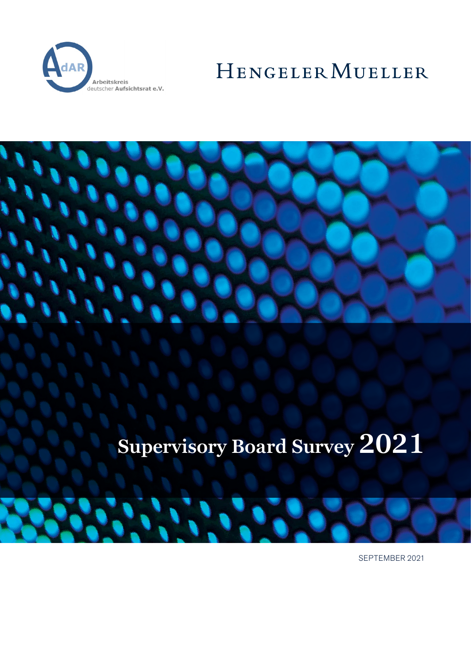

# HENGELER MUELLER



# **Supervisory Board Survey 2021**

SEPTEMBER 2021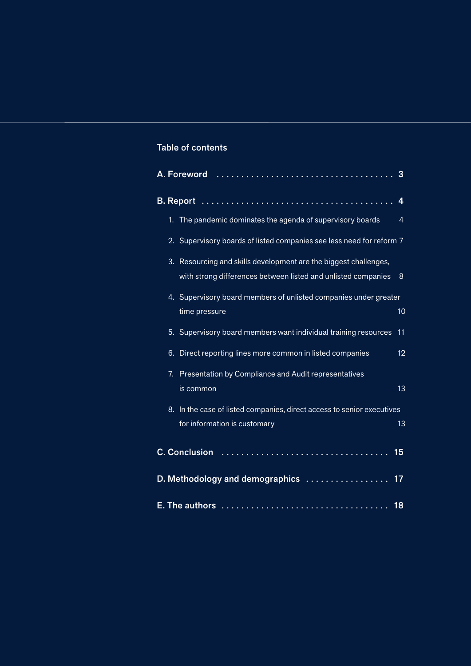# Table of contents

|                                     | 3  |                                                                                                                                |    |  |  |  |  |
|-------------------------------------|----|--------------------------------------------------------------------------------------------------------------------------------|----|--|--|--|--|
|                                     | 4  |                                                                                                                                |    |  |  |  |  |
|                                     |    | 1. The pandemic dominates the agenda of supervisory boards                                                                     | 4  |  |  |  |  |
|                                     |    | 2. Supervisory boards of listed companies see less need for reform 7                                                           |    |  |  |  |  |
|                                     | 3. | Resourcing and skills development are the biggest challenges,<br>with strong differences between listed and unlisted companies | 8  |  |  |  |  |
|                                     |    | 4. Supervisory board members of unlisted companies under greater<br>time pressure                                              | 10 |  |  |  |  |
|                                     |    | 5. Supervisory board members want individual training resources                                                                | 11 |  |  |  |  |
|                                     | 6. | Direct reporting lines more common in listed companies                                                                         | 12 |  |  |  |  |
|                                     | 7. | Presentation by Compliance and Audit representatives<br>is common                                                              | 13 |  |  |  |  |
|                                     | 8. | In the case of listed companies, direct access to senior executives<br>for information is customary                            | 13 |  |  |  |  |
| <b>C. Conclusion</b>                |    |                                                                                                                                |    |  |  |  |  |
| D. Methodology and demographics  17 |    |                                                                                                                                |    |  |  |  |  |
| 18                                  |    |                                                                                                                                |    |  |  |  |  |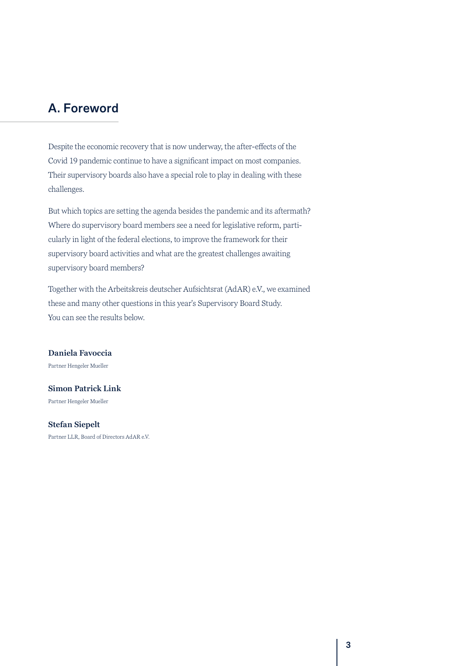# <span id="page-2-0"></span>A. Foreword

Despite the economic recovery that is now underway, the after-effects of the Covid 19 pandemic continue to have a significant impact on most companies. Their supervisory boards also have a special role to play in dealing with these challenges.

But which topics are setting the agenda besides the pandemic and its aftermath? Where do supervisory board members see a need for legislative reform, particularly in light of the federal elections, to improve the framework for their supervisory board activities and what are the greatest challenges awaiting supervisory board members?

Together with the Arbeitskreis deutscher Aufsichtsrat (AdAR) e.V., we examined these and many other questions in this year's Supervisory Board Study. You can see the results below.

**Daniela Favoccia** Partner Hengeler Mueller

**Simon Patrick Link** Partner Hengeler Mueller

**Stefan Siepelt**

Partner LLR, Board of Directors AdAR e.V.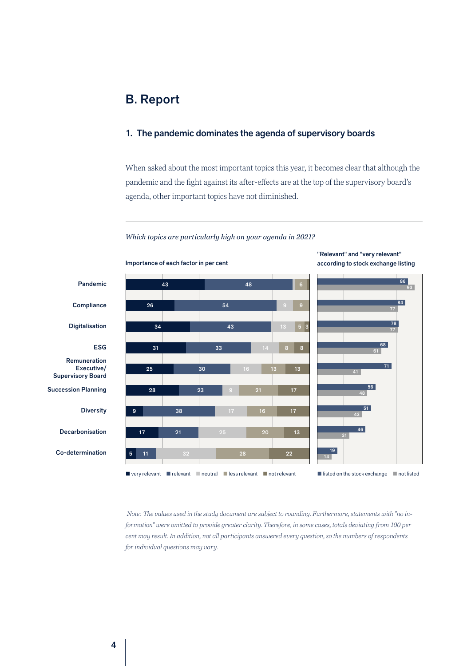## <span id="page-3-0"></span>1. The pandemic dominates the agenda of supervisory boards

When asked about the most important topics this year, it becomes clear that although the pandemic and the fight against its after-effects are at the top of the supervisory board's agenda, other important topics have not diminished.





 *Note: The values used in the study document are subject to rounding. Furthermore, statements with "no information" were omitted to provide greater clarity. Therefore, in some cases, totals deviating from 100 per cent may result. In addition, not all participants answered every question, so the numbers of respondents for individual questions may vary.*

according to stock exchange listing

"Relevant" and "very relevant"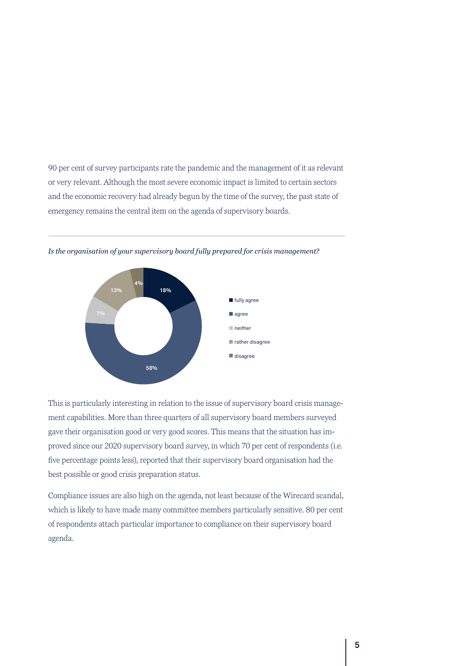90 per cent of survey participants rate the pandemic and the management of it as relevant or very relevant. Although the most severe economic impact is limited to certain sectors and the economic recovery had already begun by the time of the survey, the past state of emergency remains the central item on the agenda of supervisory boards.



*Is the organisation of your supervisory board fully prepared for crisis management?*

This is particularly interesting in relation to the issue of supervisory board crisis management capabilities. More than three quarters of all supervisory board members surveyed gave their organisation good or very good scores. This means that the situation has improved since our 2020 supervisory board survey, in which 70 per cent of respondents (i.e. five percentage points less), reported that their supervisory board organisation had the best possible or good crisis preparation status.

Compliance issues are also high on the agenda, not least because of the Wirecard scandal, which is likely to have made many committee members particularly sensitive. 80 per cent of respondents attach particular importance to compliance on their supervisory board agenda.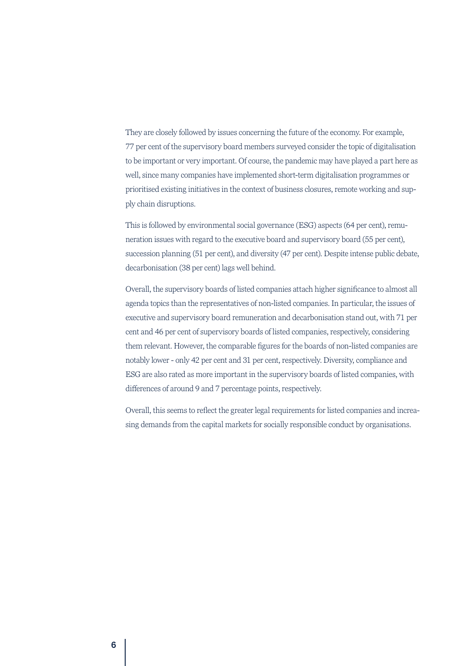They are closely followed by issues concerning the future of the economy. For example, 77 per cent of the supervisory board members surveyed consider the topic of digitalisation to be important or very important. Of course, the pandemic may have played a part here as well, since many companies have implemented short-term digitalisation programmes or prioritised existing initiatives in the context of business closures, remote working and supply chain disruptions.

This is followed by environmental social governance (ESG) aspects (64 per cent), remuneration issues with regard to the executive board and supervisory board (55 per cent), succession planning (51 per cent), and diversity (47 per cent). Despite intense public debate, decarbonisation (38 per cent) lags well behind.

Overall, the supervisory boards of listed companies attach higher significance to almost all agenda topics than the representatives of non-listed companies. In particular, the issues of executive and supervisory board remuneration and decarbonisation stand out, with 71 per cent and 46 per cent of supervisory boards of listed companies, respectively, considering them relevant. However, the comparable figures for the boards of non-listed companies are notably lower - only 42 per cent and 31 per cent, respectively. Diversity, compliance and ESG are also rated as more important in the supervisory boards of listed companies, with differences of around 9 and 7 percentage points, respectively.

Overall, this seems to reflect the greater legal requirements for listed companies and increasing demands from the capital markets for socially responsible conduct by organisations.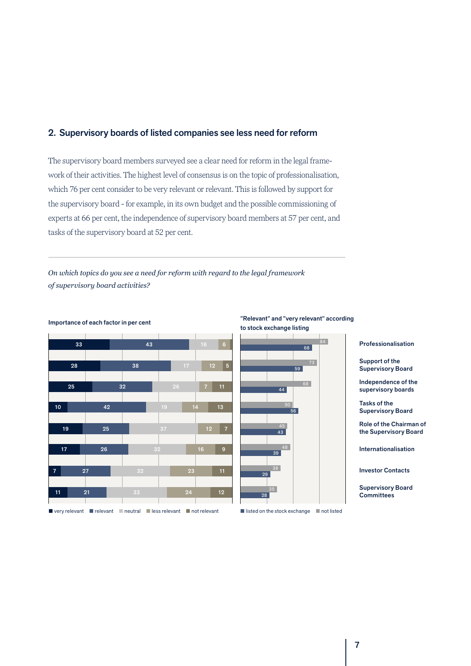## <span id="page-6-0"></span>2. Supervisory boards of listed companies see less need for reform

The supervisory board members surveyed see a clear need for reform in the legal framework of their activities. The highest level of consensus is on the topic of professionalisation, which 76 per cent consider to be very relevant or relevant. This is followed by support for the supervisory board - for example, in its own budget and the possible commissioning of experts at 66 per cent, the independence of supervisory board members at 57 per cent, and tasks of the supervisory board at 52 per cent.

*On which topics do you see a need for reform with regard to the legal framework of supervisory board activities?* 



Importance of each factor in per cent



Professionalisation

Support of the Supervisory Board

Independence of the supervisory boards

Tasks of the Supervisory Board

Role of the Chairman of the Supervisory Board

Internationalisation

Investor Contacts

Supervisory Board **Committees** 

 $\blacksquare$  very relevant  $\blacksquare$  relevant  $\blacksquare$  neutral  $\blacksquare$  less relevant  $\blacksquare$  not relevant

 $\blacksquare$  listed on the stock exchange  $\blacksquare$  not listed 28 29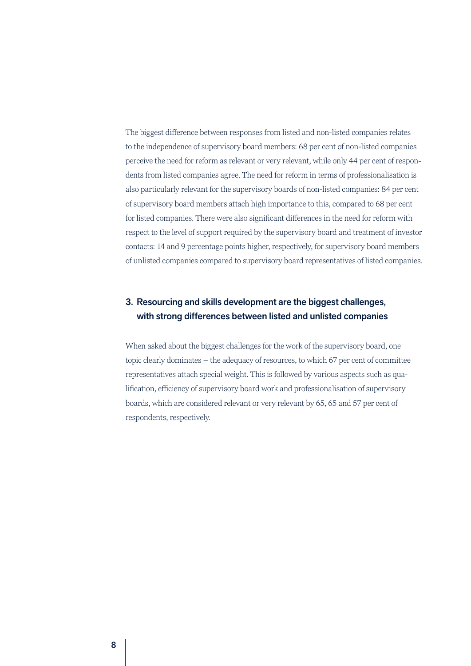<span id="page-7-0"></span>The biggest difference between responses from listed and non-listed companies relates to the independence of supervisory board members: 68 per cent of non-listed companies perceive the need for reform as relevant or very relevant, while only 44 per cent of respondents from listed companies agree. The need for reform in terms of professionalisation is also particularly relevant for the supervisory boards of non-listed companies: 84 per cent of supervisory board members attach high importance to this, compared to 68 per cent for listed companies. There were also significant differences in the need for reform with respect to the level of support required by the supervisory board and treatment of investor contacts: 14 and 9 percentage points higher, respectively, for supervisory board members of unlisted companies compared to supervisory board representatives of listed companies.

## 3. Resourcing and skills development are the biggest challenges, with strong differences between listed and unlisted companies

When asked about the biggest challenges for the work of the supervisory board, one topic clearly dominates – the adequacy of resources, to which 67 per cent of committee representatives attach special weight. This is followed by various aspects such as qualification, efficiency of supervisory board work and professionalisation of supervisory boards, which are considered relevant or very relevant by 65, 65 and 57 per cent of respondents, respectively.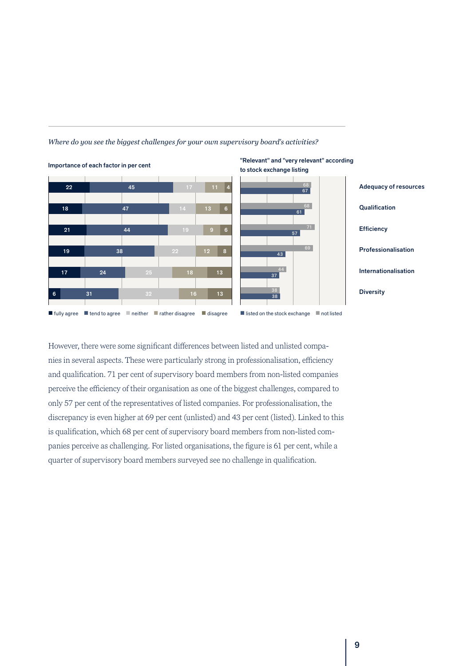



However, there were some significant differences between listed and unlisted companies in several aspects. These were particularly strong in professionalisation, efficiency and qualification. 71 per cent of supervisory board members from non-listed companies perceive the efficiency of their organisation as one of the biggest challenges, compared to only 57 per cent of the representatives of listed companies. For professionalisation, the discrepancy is even higher at 69 per cent (unlisted) and 43 per cent (listed). Linked to this is qualification, which 68 per cent of supervisory board members from non-listed companies perceive as challenging. For listed organisations, the figure is 61 per cent, while a quarter of supervisory board members surveyed see no challenge in qualification.



9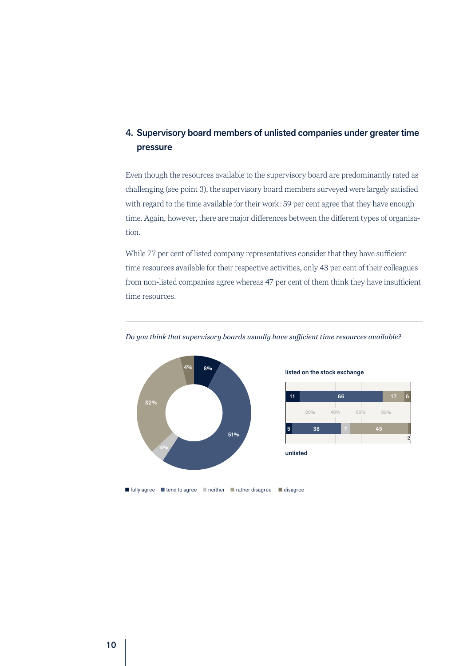# <span id="page-9-0"></span>4. Supervisory board members of unlisted companies under greater time pressure

Even though the resources available to the supervisory board are predominantly rated as challenging (see point 3), the supervisory board members surveyed were largely satisfied with regard to the time available for their work: 59 per cent agree that they have enough time. Again, however, there are major differences between the different types of organisation.

While 77 per cent of listed company representatives consider that they have sufficient time resources available for their respective activities, only 43 per cent of their colleagues from non-listed companies agree whereas 47 per cent of them think they have insufficient time resources.



### *Do you think that supervisory boards usually have sufficient time resources available?*



■ fully agree ■ tend to agree ■ neither ■ rather disagree ■ disagree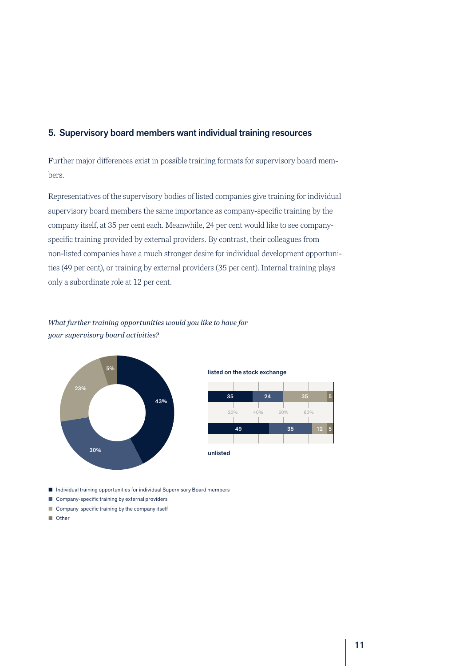## <span id="page-10-0"></span>5. Supervisory board members want individual training resources

Further major differences exist in possible training formats for supervisory board members.

Representatives of the supervisory bodies of listed companies give training for individual supervisory board members the same importance as company-specific training by the company itself, at 35 per cent each. Meanwhile, 24 per cent would like to see companyspecific training provided by external providers. By contrast, their colleagues from non-listed companies have a much stronger desire for individual development opportunities (49 per cent), or training by external providers (35 per cent). Internal training plays only a subordinate role at 12 per cent.

## *What further training opportunities would you like to have for your supervisory board activities?*



## listed on the stock exchange



■ Individual training opportunities for individual Supervisory Board members

- $\blacksquare$  Company-specific training by external providers
- $\Box$  Company-specific training by the company itself
- n Other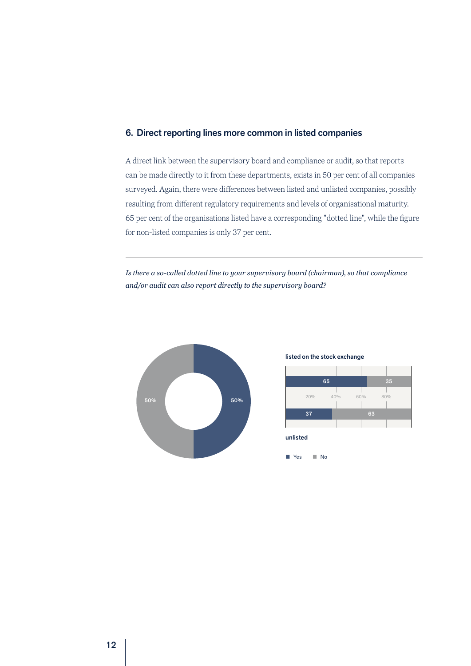## <span id="page-11-0"></span>6. Direct reporting lines more common in listed companies

A direct link between the supervisory board and compliance or audit, so that reports can be made directly to it from these departments, exists in 50 per cent of all companies surveyed. Again, there were differences between listed and unlisted companies, possibly resulting from different regulatory requirements and levels of organisational maturity. 65 per cent of the organisations listed have a corresponding "dotted line", while the figure for non-listed companies is only 37 per cent.

*Is there a so-called dotted line to your supervisory board (chairman), so that compliance and/or audit can also report directly to the supervisory board?*



### listed on the stock exchange

■ Yes ■ No

|                      | 65  |     | 35  |  |
|----------------------|-----|-----|-----|--|
| 20%<br>and the state | 40% | 60% | 80% |  |
| 37                   |     | 63  |     |  |
| unlisted             |     |     |     |  |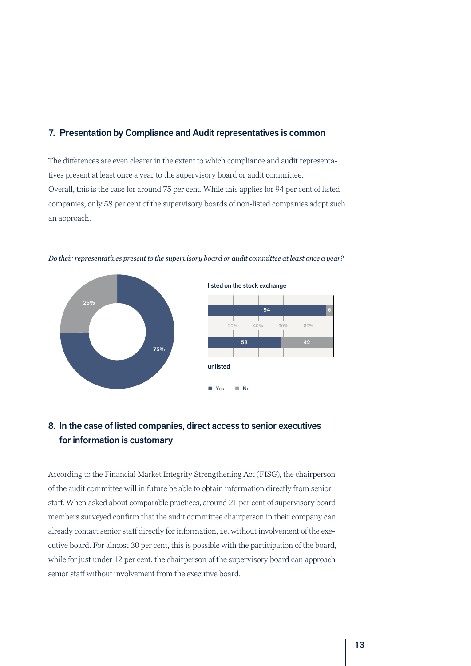## <span id="page-12-0"></span>7. Presentation by Compliance and Audit representatives is common

The differences are even clearer in the extent to which compliance and audit representatives present at least once a year to the supervisory board or audit committee. Overall, this is the case for around 75 per cent. While this applies for 94 per cent of listed companies, only 58 per cent of the supervisory boards of non-listed companies adopt such an approach.



*Do their representatives present to the supervisory board or audit committee at least once a year?*

# 8. In the case of listed companies, direct access to senior executives for information is customary

According to the Financial Market Integrity Strengthening Act (FISG), the chairperson of the audit committee will in future be able to obtain information directly from senior staff. When asked about comparable practices, around 21 per cent of supervisory board members surveyed confirm that the audit committee chairperson in their company can already contact senior staff directly for information, i.e. without involvement of the executive board. For almost 30 per cent, this is possible with the participation of the board, while for just under 12 per cent, the chairperson of the supervisory board can approach senior staff without involvement from the executive board.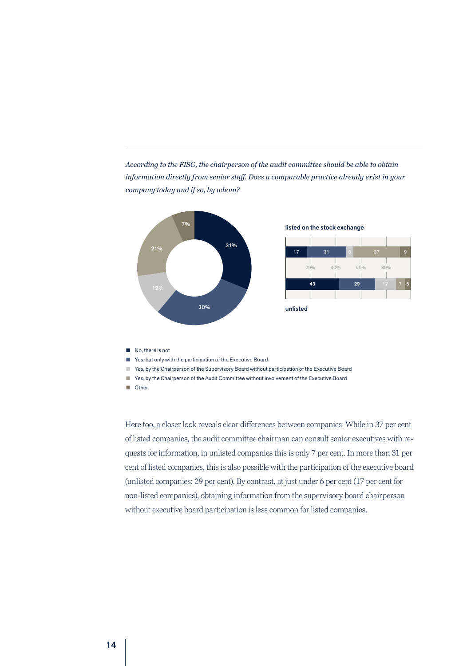*According to the FISG, the chairperson of the audit committee should be able to obtain information directly from senior staff. Does a comparable practice already exist in your company today and if so, by whom?*



 $\blacksquare$  No, there is not

■ Yes, but only with the participation of the Executive Board

n Yes, by the Chairperson of the Supervisory Board without participation of the Executive Board

■ Yes, by the Chairperson of the Audit Committee without involvement of the Executive Board

**n** Other

Here too, a closer look reveals clear differences between companies. While in 37 per cent of listed companies, the audit committee chairman can consult senior executives with requests for information, in unlisted companies this is only 7 per cent. In more than 31 per cent of listed companies, this is also possible with the participation of the executive board (unlisted companies: 29 per cent). By contrast, at just under 6 per cent (17 per cent for non-listed companies), obtaining information from the supervisory board chairperson without executive board participation is less common for listed companies.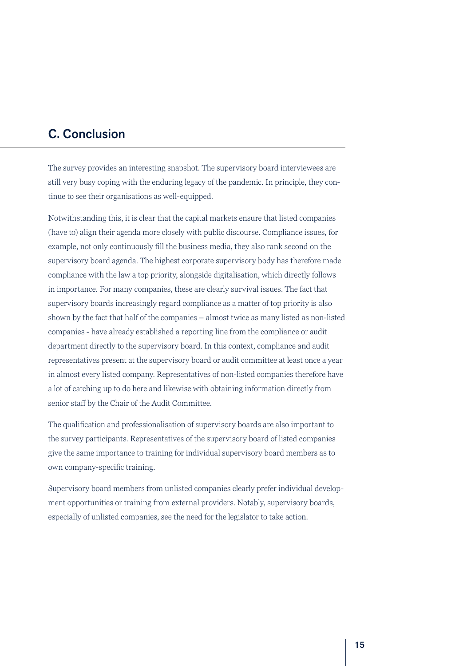# <span id="page-14-0"></span>C. Conclusion

The survey provides an interesting snapshot. The supervisory board interviewees are still very busy coping with the enduring legacy of the pandemic. In principle, they continue to see their organisations as well-equipped.

Notwithstanding this, it is clear that the capital markets ensure that listed companies (have to) align their agenda more closely with public discourse. Compliance issues, for example, not only continuously fill the business media, they also rank second on the supervisory board agenda. The highest corporate supervisory body has therefore made compliance with the law a top priority, alongside digitalisation, which directly follows in importance. For many companies, these are clearly survival issues. The fact that supervisory boards increasingly regard compliance as a matter of top priority is also shown by the fact that half of the companies – almost twice as many listed as non-listed companies - have already established a reporting line from the compliance or audit department directly to the supervisory board. In this context, compliance and audit representatives present at the supervisory board or audit committee at least once a year in almost every listed company. Representatives of non-listed companies therefore have a lot of catching up to do here and likewise with obtaining information directly from senior staff by the Chair of the Audit Committee.

The qualification and professionalisation of supervisory boards are also important to the survey participants. Representatives of the supervisory board of listed companies give the same importance to training for individual supervisory board members as to own company-specific training.

Supervisory board members from unlisted companies clearly prefer individual development opportunities or training from external providers. Notably, supervisory boards, especially of unlisted companies, see the need for the legislator to take action.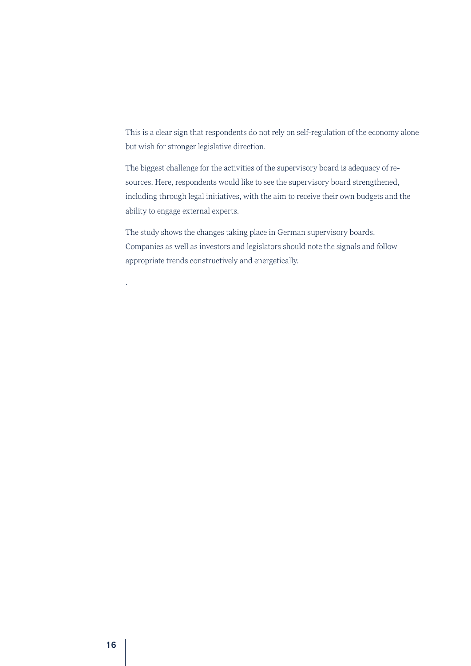This is a clear sign that respondents do not rely on self-regulation of the economy alone but wish for stronger legislative direction.

The biggest challenge for the activities of the supervisory board is adequacy of resources. Here, respondents would like to see the supervisory board strengthened, including through legal initiatives, with the aim to receive their own budgets and the ability to engage external experts.

The study shows the changes taking place in German supervisory boards. Companies as well as investors and legislators should note the signals and follow appropriate trends constructively and energetically.

.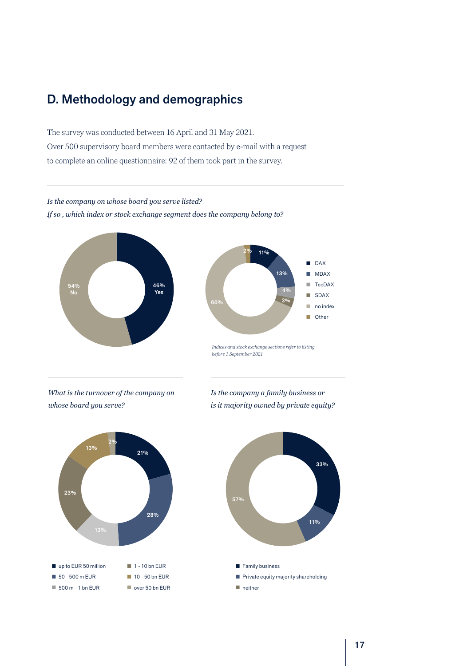# <span id="page-16-0"></span>D. Methodology and demographics

The survey was conducted between 16 April and 31 May 2021. Over 500 supervisory board members were contacted by e-mail with a request to complete an online questionnaire: 92 of them took part in the survey.

## *Is the company on whose board you serve listed? If so , which index or stock exchange segment does the company belong to?*





*Indices and stock exchange sections refer to listing before 1 September 2021*

*What is the turnover of the company on whose board you serve?*





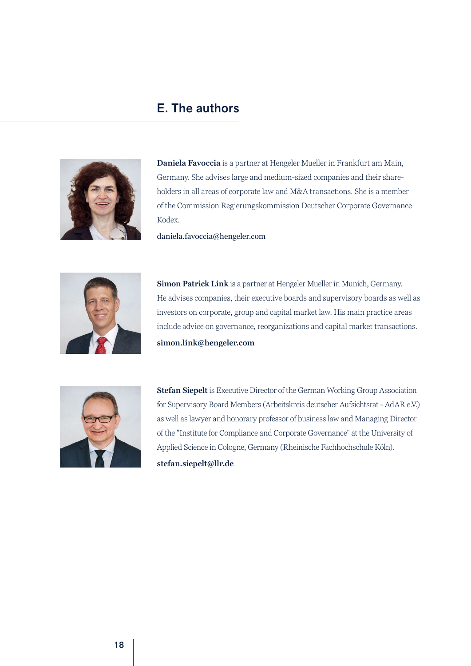# E. The authors

<span id="page-17-0"></span>

**Daniela Favoccia** is a partner at Hengeler Mueller in Frankfurt am Main, Germany. She advises large and medium-sized companies and their shareholders in all areas of corporate law and M&A transactions. She is a member of the Commission Regierungskommission Deutscher Corporate Governance Kodex.

daniela.favoccia@hengeler.com



**Simon Patrick Link** is a partner at Hengeler Mueller in Munich, Germany. He advises companies, their executive boards and supervisory boards as well as investors on corporate, group and capital market law. His main practice areas include advice on governance, reorganizations and capital market transactions. **simon.link@hengeler.com**



**Stefan Siepelt** is Executive Director of the German Working Group Association for Supervisory Board Members (Arbeitskreis deutscher Aufsichtsrat - AdAR e.V.) as well as lawyer and honorary professor of business law and Managing Director of the "Institute for Compliance and Corporate Governance" at the University of Applied Science in Cologne, Germany (Rheinische Fachhochschule Köln).

**stefan.siepelt@llr.de**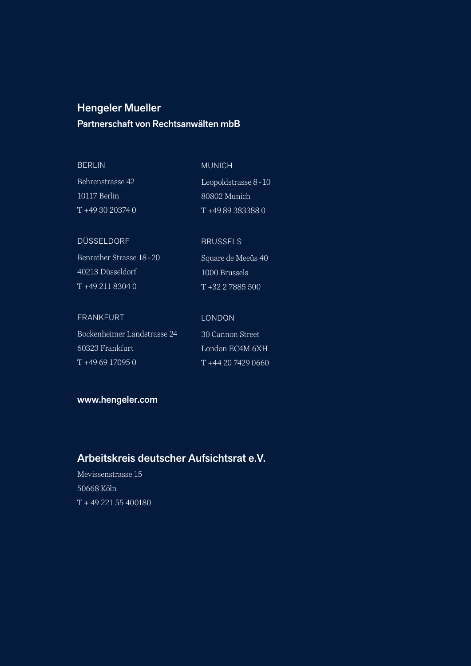# Hengeler Mueller

## Partnerschaft von Rechtsanwälten mbB

| <b>MUNICH</b>         |
|-----------------------|
| Leopoldstrasse 8 - 10 |
| 80802 Munich          |
| T+49893833880         |
|                       |

## DÜSSELDORF

FRANKFURT

Benrather Strasse 18-20 40213 Düsseldorf T +49 211 8304 0

## LONDON

**BRUSSELS** 

1000 Brussels T +32 2 7885 500

Square de Meeûs 40

 $6XH$  $0660$ 

| Bockenheimer Landstrasse 24 | '30 Cannon Street |
|-----------------------------|-------------------|
| 60323 Frankfurt             | London EC4M 6X    |
| $T + 4969170950$            | $T + 4420742906$  |

## www.hengeler.com

# Arbeitskreis deutscher Aufsichtsrat e.V.

Mevissenstrasse 15 50668 Köln T + 49 221 55 400180